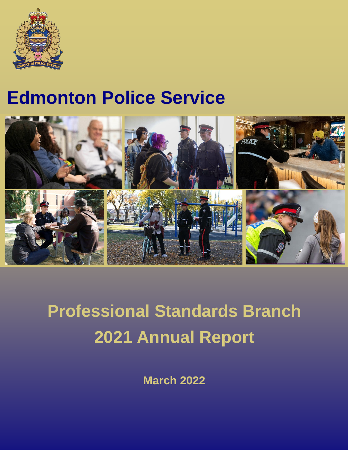

## **Edmonton Police Service**



# **Professional Standards Branch 2021 Annual Report**

**March 2022**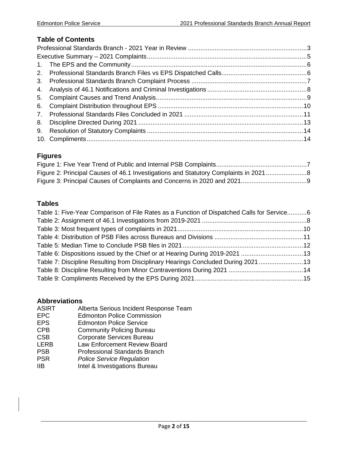#### **Table of Contents**

#### **Figures**

| Figure 2: Principal Causes of 46.1 Investigations and Statutory Complaints in 20218 |  |
|-------------------------------------------------------------------------------------|--|
|                                                                                     |  |

#### **Tables**

| Table 1: Five-Year Comparison of File Rates as a Function of Dispatched Calls for Service6 |  |
|--------------------------------------------------------------------------------------------|--|
|                                                                                            |  |
|                                                                                            |  |
|                                                                                            |  |
|                                                                                            |  |
| Table 6: Dispositions issued by the Chief or at Hearing During 2019-2021 13                |  |
| Table 7: Discipline Resulting from Disciplinary Hearings Concluded During 2021 13          |  |
|                                                                                            |  |
|                                                                                            |  |
|                                                                                            |  |

## **Abbreviations**

- ASIRT Alberta Serious Incident Response Team<br>EPC Edmonton Police Commission
- EPC Edmonton Police Commission<br>
EPS Edmonton Police Service
- EPS Edmonton Police Service<br>
CPB Community Policing Burea
- CPB Community Policing Bureau<br>
CSB Corporate Services Bureau
- CSB Corporate Services Bureau<br>
LERB Law Enforcement Review B
- LERB Law Enforcement Review Board<br>
PSB Professional Standards Branch
- Professional Standards Branch
- PSR *Police Service Regulation*
- Intel & Investigations Bureau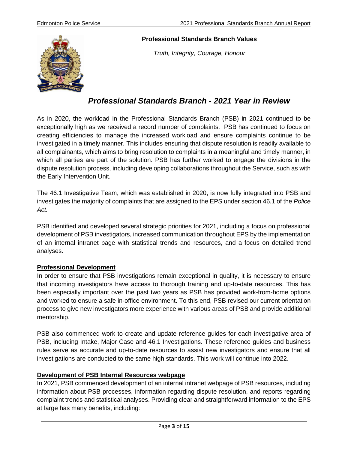

#### **Professional Standards Branch Values**

*Truth, Integrity, Courage, Honour*

## <span id="page-2-0"></span>*Professional Standards Branch - 2021 Year in Review*

As in 2020, the workload in the Professional Standards Branch (PSB) in 2021 continued to be exceptionally high as we received a record number of complaints. PSB has continued to focus on creating efficiencies to manage the increased workload and ensure complaints continue to be investigated in a timely manner. This includes ensuring that dispute resolution is readily available to all complainants, which aims to bring resolution to complaints in a meaningful and timely manner, in which all parties are part of the solution. PSB has further worked to engage the divisions in the dispute resolution process, including developing collaborations throughout the Service, such as with the Early Intervention Unit.

The 46.1 Investigative Team, which was established in 2020, is now fully integrated into PSB and investigates the majority of complaints that are assigned to the EPS under section 46.1 of the *Police Act.*

PSB identified and developed several strategic priorities for 2021, including a focus on professional development of PSB investigators, increased communication throughout EPS by the implementation of an internal intranet page with statistical trends and resources, and a focus on detailed trend analyses.

#### **Professional Development**

In order to ensure that PSB investigations remain exceptional in quality, it is necessary to ensure that incoming investigators have access to thorough training and up-to-date resources. This has been especially important over the past two years as PSB has provided work-from-home options and worked to ensure a safe in-office environment. To this end, PSB revised our current orientation process to give new investigators more experience with various areas of PSB and provide additional mentorship.

PSB also commenced work to create and update reference guides for each investigative area of PSB, including Intake, Major Case and 46.1 Investigations. These reference guides and business rules serve as accurate and up-to-date resources to assist new investigators and ensure that all investigations are conducted to the same high standards. This work will continue into 2022.

#### **Development of PSB Internal Resources webpage**

In 2021, PSB commenced development of an internal intranet webpage of PSB resources, including information about PSB processes, information regarding dispute resolution, and reports regarding complaint trends and statistical analyses. Providing clear and straightforward information to the EPS at large has many benefits, including: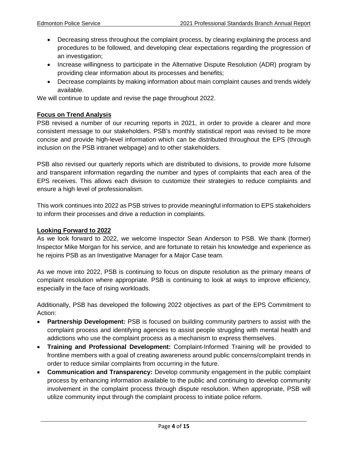- Decreasing stress throughout the complaint process, by clearing explaining the process and procedures to be followed, and developing clear expectations regarding the progression of an investigation;
- Increase willingness to participate in the Alternative Dispute Resolution (ADR) program by providing clear information about its processes and benefits;
- Decrease complaints by making information about main complaint causes and trends widely available.

We will continue to update and revise the page throughout 2022.

#### **Focus on Trend Analysis**

PSB revised a number of our recurring reports in 2021, in order to provide a clearer and more consistent message to our stakeholders. PSB's monthly statistical report was revised to be more concise and provide high-level information which can be distributed throughout the EPS (through inclusion on the PSB intranet webpage) and to other stakeholders.

PSB also revised our quarterly reports which are distributed to divisions, to provide more fulsome and transparent information regarding the number and types of complaints that each area of the EPS receives. This allows each division to customize their strategies to reduce complaints and ensure a high level of professionalism.

This work continues into 2022 as PSB strives to provide meaningful information to EPS stakeholders to inform their processes and drive a reduction in complaints.

#### **Looking Forward to 2022**

As we look forward to 2022, we welcome Inspector Sean Anderson to PSB. We thank (former) Inspector Mike Morgan for his service, and are fortunate to retain his knowledge and experience as he rejoins PSB as an Investigative Manager for a Major Case team.

As we move into 2022, PSB is continuing to focus on dispute resolution as the primary means of complaint resolution where appropriate. PSB is continuing to look at ways to improve efficiency, especially in the face of rising workloads.

Additionally, PSB has developed the following 2022 objectives as part of the EPS Commitment to Action:

- **Partnership Development:** PSB is focused on building community partners to assist with the complaint process and identifying agencies to assist people struggling with mental health and addictions who use the complaint process as a mechanism to express themselves.
- **Training and Professional Development:** Complaint-Informed Training will be provided to frontline members with a goal of creating awareness around public concerns/complaint trends in order to reduce similar complaints from occurring in the future.
- **Communication and Transparency:** Develop community engagement in the public complaint process by enhancing information available to the public and continuing to develop community involvement in the complaint process through dispute resolution. When appropriate, PSB will utilize community input through the complaint process to initiate police reform.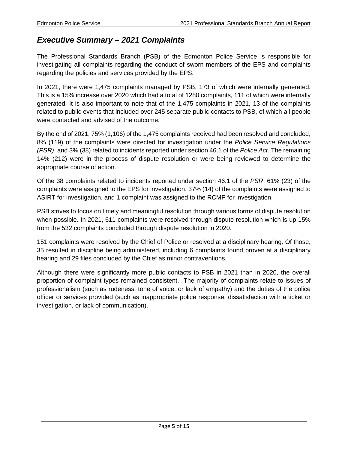## <span id="page-4-0"></span>*Executive Summary – 2021 Complaints*

The Professional Standards Branch (PSB) of the Edmonton Police Service is responsible for investigating all complaints regarding the conduct of sworn members of the EPS and complaints regarding the policies and services provided by the EPS.

In 2021, there were 1,475 complaints managed by PSB, 173 of which were internally generated. This is a 15% increase over 2020 which had a total of 1280 complaints, 111 of which were internally generated. It is also important to note that of the 1,475 complaints in 2021, 13 of the complaints related to public events that included over 245 separate public contacts to PSB, of which all people were contacted and advised of the outcome.

By the end of 2021, 75% (1,106) of the 1,475 complaints received had been resolved and concluded, 8% (119) of the complaints were directed for investigation under the *Police Service Regulations (PSR)*, and 3% (38) related to incidents reported under section 46.1 of the *Police Act*. The remaining 14% (212) were in the process of dispute resolution or were being reviewed to determine the appropriate course of action.

Of the 38 complaints related to incidents reported under section 46.1 of the *PSR*, 61% (23) of the complaints were assigned to the EPS for investigation, 37% (14) of the complaints were assigned to ASIRT for investigation, and 1 complaint was assigned to the RCMP for investigation.

PSB strives to focus on timely and meaningful resolution through various forms of dispute resolution when possible. In 2021, 611 complaints were resolved through dispute resolution which is up 15% from the 532 complaints concluded through dispute resolution in 2020.

151 complaints were resolved by the Chief of Police or resolved at a disciplinary hearing. Of those, 35 resulted in discipline being administered, including 6 complaints found proven at a disciplinary hearing and 29 files concluded by the Chief as minor contraventions.

Although there were significantly more public contacts to PSB in 2021 than in 2020, the overall proportion of complaint types remained consistent. The majority of complaints relate to issues of professionalism (such as rudeness, tone of voice, or lack of empathy) and the duties of the police officer or services provided (such as inappropriate police response, dissatisfaction with a ticket or investigation, or lack of communication).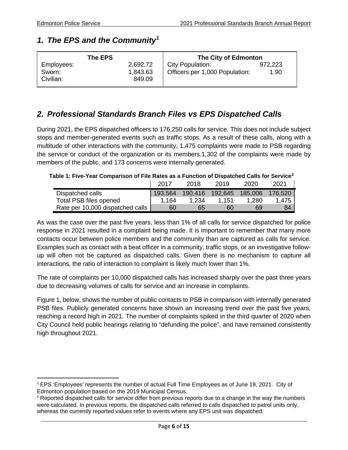## <span id="page-5-0"></span>*1. The EPS and the Community[1](#page-5-3)*

| The EPS                           |                                | The City of Edmonton                               |                 |
|-----------------------------------|--------------------------------|----------------------------------------------------|-----------------|
| Employees:<br>Sworn:<br>Civilian: | 2,692.72<br>1,843.63<br>849.09 | City Population:<br>Officers per 1,000 Population: | 972,223<br>1.90 |

## <span id="page-5-1"></span>*2. Professional Standards Branch Files vs EPS Dispatched Calls*

During 2021, the EPS dispatched officers to 176,250 calls for service. This does not include subject stops and member-generated events such as traffic stops. As a result of these calls, along with a multitude of other interactions with the community, 1,475 complaints were made to PSB regarding the service or conduct of the organization or its members.1,302 of the complaints were made by members of the public, and 173 concerns were internally generated.

#### <span id="page-5-2"></span>**Table 1: Five-Year Comparison of File Rates as a Function of Dispatched Calls for Service[2](#page-5-4)**

|                                  | 2017    | 2018    | 2019    | 2020    | 2021    |
|----------------------------------|---------|---------|---------|---------|---------|
| Dispatched calls                 | 193.564 | 190,416 | 192,645 | 185,006 | 176.520 |
| <b>Total PSB files opened</b>    | 1.164   | 1.234   | 1.151   | 1,280   | 1,475   |
| Rate per 10,000 dispatched calls | 60      | 65      | 60      | 69      | 84      |

As was the case over the past five years, less than 1% of all calls for service dispatched for police response in 2021 resulted in a complaint being made. It is important to remember that many more contacts occur between police members and the community than are captured as calls for service. Examples such as contact with a beat officer in a community, traffic stops, or an investigative followup will often not be captured as dispatched calls. Given there is no mechanism to capture all interactions, the ratio of interaction to complaint is likely much lower than 1%.

The rate of complaints per 10,000 dispatched calls has increased sharply over the past three years due to decreasing volumes of calls for service and an increase in complaints.

[Figure 1,](#page-6-1) below, shows the number of public contacts to PSB in comparison with internally generated PSB files. Publicly generated concerns have shown an increasing trend over the past five years, reaching a record high in 2021. The number of complaints spiked in the third quarter of 2020 when City Council held public hearings relating to "defunding the police", and have remained consistently high throughout 2021.

<span id="page-5-3"></span><sup>1</sup> EPS 'Employees' represents the number of actual Full Time Employees as of June 19, 2021. City of Edmonton population based on the 2019 Municipal Census.

<span id="page-5-4"></span><sup>&</sup>lt;sup>2</sup> Reported dispatched calls for service differ from previous reports due to a change in the way the numbers were calculated. In previous reports, the dispatched calls referred to calls dispatched to patrol units only, whereas the currently reported values refer to events where any EPS unit was dispatched.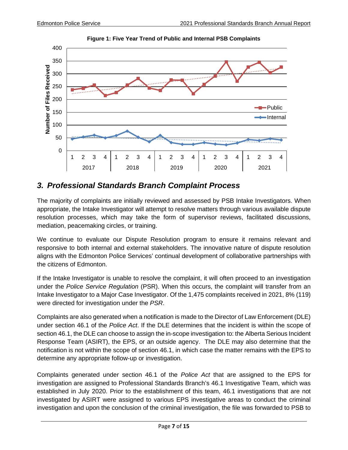<span id="page-6-1"></span>

**Figure 1: Five Year Trend of Public and Internal PSB Complaints**

## <span id="page-6-0"></span>*3. Professional Standards Branch Complaint Process*

The majority of complaints are initially reviewed and assessed by PSB Intake Investigators. When appropriate, the Intake Investigator will attempt to resolve matters through various available dispute resolution processes, which may take the form of supervisor reviews, facilitated discussions, mediation, peacemaking circles, or training.

We continue to evaluate our Dispute Resolution program to ensure it remains relevant and responsive to both internal and external stakeholders. The innovative nature of dispute resolution aligns with the Edmonton Police Services' continual development of collaborative partnerships with the citizens of Edmonton.

If the Intake Investigator is unable to resolve the complaint, it will often proceed to an investigation under the *Police Service Regulation* (PSR). When this occurs, the complaint will transfer from an Intake Investigator to a Major Case Investigator. Of the 1,475 complaints received in 2021, 8% (119) were directed for investigation under the *PSR*.

Complaints are also generated when a notification is made to the Director of Law Enforcement (DLE) under section 46.1 of the *Police Act*. If the DLE determines that the incident is within the scope of section 46.1, the DLE can choose to assign the in-scope investigation to: the Alberta Serious Incident Response Team (ASIRT), the EPS, or an outside agency. The DLE may also determine that the notification is not within the scope of section 46.1, in which case the matter remains with the EPS to determine any appropriate follow-up or investigation.

Complaints generated under section 46.1 of the *Police Act* that are assigned to the EPS for investigation are assigned to Professional Standards Branch's 46.1 Investigative Team, which was established in July 2020. Prior to the establishment of this team, 46.1 investigations that are not investigated by ASIRT were assigned to various EPS investigative areas to conduct the criminal investigation and upon the conclusion of the criminal investigation, the file was forwarded to PSB to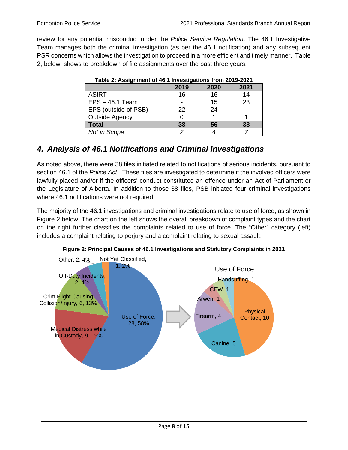<span id="page-7-2"></span>review for any potential misconduct under the *Police Service Regulation*. The 46.1 Investigative Team manages both the criminal investigation (as per the 46.1 notification) and any subsequent PSR concerns which allows the investigation to proceed in a more efficient and timely manner. [Table](#page-7-2)  [2,](#page-7-2) below, shows to breakdown of file assignments over the past three years.

| $1.4000$ and $1.0000$ graduated $1.0000$ and $1.0000$ graduated $1.0000$ and $1.0000$ |      |      |      |
|---------------------------------------------------------------------------------------|------|------|------|
|                                                                                       | 2019 | 2020 | 2021 |
| <b>ASIRT</b>                                                                          | 16   | 16   | 14   |
| $EPS - 46.1$ Team                                                                     |      | 15   | 23   |
| EPS (outside of PSB)                                                                  | 22   | 24   |      |
| <b>Outside Agency</b>                                                                 |      |      |      |
| <b>Total</b>                                                                          | 38   | 56   | 38   |
| Not in Scope                                                                          |      |      |      |

| Table 2: Assignment of 46.1 Investigations from 2019-2021 |  |  |
|-----------------------------------------------------------|--|--|
|                                                           |  |  |

## <span id="page-7-0"></span>*4. Analysis of 46.1 Notifications and Criminal Investigations*

As noted above, there were 38 files initiated related to notifications of serious incidents, pursuant to section 46.1 of the *Police Act*. These files are investigated to determine if the involved officers were lawfully placed and/or if the officers' conduct constituted an offence under an Act of Parliament or the Legislature of Alberta. In addition to those 38 files, PSB initiated four criminal investigations where 46.1 notifications were not required.

The majority of the 46.1 investigations and criminal investigations relate to use of force, as shown in [Figure](#page-7-3) 2 below. The chart on the left shows the overall breakdown of complaint types and the chart on the right further classifies the complaints related to use of force. The "Other" category (left) includes a complaint relating to perjury and a complaint relating to sexual assault.

<span id="page-7-1"></span>

<span id="page-7-3"></span>**Figure 2: Principal Causes of 46.1 Investigations and Statutory Complaints in 2021**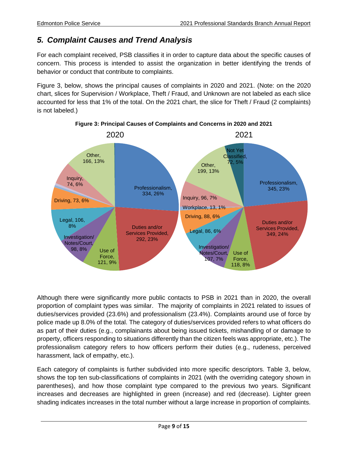## <span id="page-8-0"></span>*5. Complaint Causes and Trend Analysis*

For each complaint received, PSB classifies it in order to capture data about the specific causes of concern. This process is intended to assist the organization in better identifying the trends of behavior or conduct that contribute to complaints.

[Figure 3,](#page-8-1) below, shows the principal causes of complaints in 2020 and 2021. (Note: on the 2020 chart, slices for Supervision / Workplace, Theft / Fraud, and Unknown are not labeled as each slice accounted for less that 1% of the total. On the 2021 chart, the slice for Theft / Fraud (2 complaints) is not labeled.)

<span id="page-8-1"></span>

**Figure 3: Principal Causes of Complaints and Concerns in 2020 and 2021**

Although there were significantly more public contacts to PSB in 2021 than in 2020, the overall proportion of complaint types was similar. The majority of complaints in 2021 related to issues of duties/services provided (23.6%) and professionalism (23.4%). Complaints around use of force by police made up 8.0% of the total. The category of duties/services provided refers to what officers do as part of their duties (e.g., complainants about being issued tickets, mishandling of or damage to property, officers responding to situations differently than the citizen feels was appropriate, etc.). The professionalism category refers to how officers perform their duties (e.g., rudeness, perceived harassment, lack of empathy, etc.).

Each category of complaints is further subdivided into more specific descriptors. [Table 3,](#page-9-1) below, shows the top ten sub-classifications of complaints in 2021 (with the overriding category shown in parentheses), and how those complaint type compared to the previous two years. Significant increases and decreases are highlighted in green (increase) and red (decrease). Lighter green shading indicates increases in the total number without a large increase in proportion of complaints.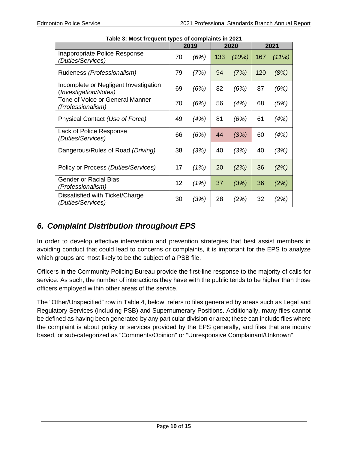<span id="page-9-1"></span>

| Table 5: MOSt frequent types or complaints in 2021             |    |      |     |       |     |       |
|----------------------------------------------------------------|----|------|-----|-------|-----|-------|
|                                                                |    | 2019 |     | 2020  |     | 2021  |
| Inappropriate Police Response<br>(Duties/Services)             | 70 | (6%) | 133 | (10%) | 167 | (11%) |
| Rudeness (Professionalism)                                     | 79 | (7%) | 94  | (7%)  | 120 | (8%)  |
| Incomplete or Negligent Investigation<br>(Investigation/Notes) | 69 | (6%) | 82  | (6%)  | 87  | (6%)  |
| Tone of Voice or General Manner<br>(Professionalism)           | 70 | (6%) | 56  | (4%)  | 68  | (5%)  |
| Physical Contact (Use of Force)                                | 49 | (4%) | 81  | (6%)  | 61  | (4%)  |
| Lack of Police Response<br>(Duties/Services)                   | 66 | (6%) | 44  | (3%)  | 60  | (4%)  |
| Dangerous/Rules of Road (Driving)                              | 38 | (3%) | 40  | (3%)  | 40  | (3%)  |
| Policy or Process (Duties/Services)                            | 17 | (1%) | 20  | (2%)  | 36  | (2%)  |
| <b>Gender or Racial Bias</b><br>(Professionalism)              | 12 | (1%) | 37  | (3%)  | 36  | (2%)  |
| Dissatisfied with Ticket/Charge<br>(Duties/Services)           | 30 | (3%) | 28  | (2%)  | 32  | (2%)  |

**Table 3: Most frequent types of complaints in 2021**

## <span id="page-9-0"></span>*6. Complaint Distribution throughout EPS*

In order to develop effective intervention and prevention strategies that best assist members in avoiding conduct that could lead to concerns or complaints, it is important for the EPS to analyze which groups are most likely to be the subject of a PSB file.

Officers in the Community Policing Bureau provide the first-line response to the majority of calls for service. As such, the number of interactions they have with the public tends to be higher than those officers employed within other areas of the service.

The "Other/Unspecified" row in [Table 4,](#page-10-1) below, refers to files generated by areas such as Legal and Regulatory Services (including PSB) and Supernumerary Positions. Additionally, many files cannot be defined as having been generated by any particular division or area; these can include files where the complaint is about policy or services provided by the EPS generally, and files that are inquiry based, or sub-categorized as "Comments/Opinion" or "Unresponsive Complainant/Unknown".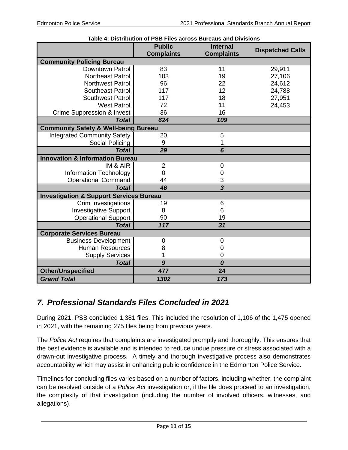<span id="page-10-1"></span>

|                                                    | Table 4: Distribution of PSB Files across Bureaus and Divisions |                                      |                         |
|----------------------------------------------------|-----------------------------------------------------------------|--------------------------------------|-------------------------|
|                                                    | <b>Public</b><br><b>Complaints</b>                              | <b>Internal</b><br><b>Complaints</b> | <b>Dispatched Calls</b> |
| <b>Community Policing Bureau</b>                   |                                                                 |                                      |                         |
| <b>Downtown Patrol</b>                             | 83                                                              | 11                                   | 29,911                  |
| <b>Northeast Patrol</b>                            | 103                                                             | 19                                   | 27,106                  |
| <b>Northwest Patrol</b>                            | 96                                                              | 22                                   | 24,612                  |
| <b>Southeast Patrol</b>                            | 117                                                             | 12                                   | 24,788                  |
| <b>Southwest Patrol</b>                            | 117                                                             | 18                                   | 27,951                  |
| <b>West Patrol</b>                                 | 72                                                              | 11                                   | 24,453                  |
| <b>Crime Suppression &amp; Invest</b>              | 36                                                              | 16                                   |                         |
| <b>Total</b>                                       | 624                                                             | 109                                  |                         |
| <b>Community Safety &amp; Well-being Bureau</b>    |                                                                 |                                      |                         |
| <b>Integrated Community Safety</b>                 | 20                                                              | 5                                    |                         |
| Social Policing                                    | 9                                                               | 1                                    |                         |
| <b>Total</b>                                       | 29                                                              | 6                                    |                         |
| <b>Innovation &amp; Information Bureau</b>         |                                                                 |                                      |                         |
| IM & AIR                                           | $\overline{2}$                                                  | 0                                    |                         |
| <b>Information Technology</b>                      | 0                                                               | 0                                    |                         |
| <b>Operational Command</b>                         | 44                                                              | 3                                    |                         |
| <b>Total</b>                                       | 46                                                              | $\overline{\mathbf{3}}$              |                         |
| <b>Investigation &amp; Support Services Bureau</b> |                                                                 |                                      |                         |
| Crim Investigations                                | 19                                                              | 6                                    |                         |
| <b>Investigative Support</b>                       | 8                                                               | 6                                    |                         |
| <b>Operational Support</b>                         | 90                                                              | 19                                   |                         |
| <b>Total</b>                                       | 117                                                             | 31                                   |                         |
| <b>Corporate Services Bureau</b>                   |                                                                 |                                      |                         |
| <b>Business Development</b>                        | 0                                                               | 0                                    |                         |
| <b>Human Resources</b>                             | 8                                                               | 0                                    |                         |
| <b>Supply Services</b>                             | 1                                                               | $\mathbf 0$                          |                         |
| <b>Total</b>                                       | $\boldsymbol{9}$                                                | 0                                    |                         |
| <b>Other/Unspecified</b>                           | 477                                                             | 24                                   |                         |
| <b>Grand Total</b>                                 | 1302                                                            | 173                                  |                         |

## <span id="page-10-0"></span>*7. Professional Standards Files Concluded in 2021*

During 2021, PSB concluded 1,381 files. This included the resolution of 1,106 of the 1,475 opened in 2021, with the remaining 275 files being from previous years.

The *Police Act* requires that complaints are investigated promptly and thoroughly. This ensures that the best evidence is available and is intended to reduce undue pressure or stress associated with a drawn-out investigative process. A timely and thorough investigative process also demonstrates accountability which may assist in enhancing public confidence in the Edmonton Police Service.

Timelines for concluding files varies based on a number of factors, including whether, the complaint can be resolved outside of a *Police Act* investigation or, if the file does proceed to an investigation, the complexity of that investigation (including the number of involved officers, witnesses, and allegations).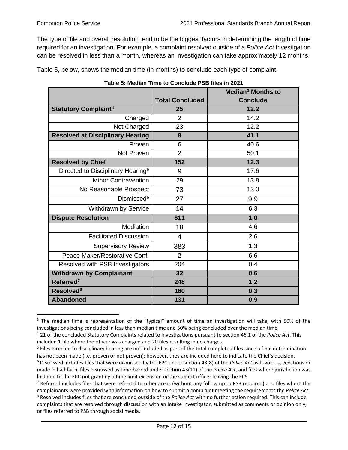The type of file and overall resolution tend to be the biggest factors in determining the length of time required for an investigation. For example, a complaint resolved outside of a *Police Act* Investigation can be resolved in less than a month, whereas an investigation can take approximately 12 months.

[Table 5,](#page-11-0) below, shows the median time (in months) to conclude each type of complaint.

<span id="page-11-0"></span>

|                                               |                        | Median <sup>3</sup> Months to |
|-----------------------------------------------|------------------------|-------------------------------|
|                                               | <b>Total Concluded</b> | <b>Conclude</b>               |
| <b>Statutory Complaint<sup>4</sup></b>        | 25                     | 12.2                          |
| Charged                                       | 2                      | 14.2                          |
| Not Charged                                   | 23                     | 12.2                          |
| <b>Resolved at Disciplinary Hearing</b>       | 8                      | 41.1                          |
| Proven                                        | 6                      | 40.6                          |
| Not Proven                                    | $\overline{2}$         | 50.1                          |
| <b>Resolved by Chief</b>                      | 152                    | 12.3                          |
| Directed to Disciplinary Hearing <sup>5</sup> | 9                      | 17.6                          |
| <b>Minor Contravention</b>                    | 29                     | 13.8                          |
| No Reasonable Prospect                        | 73                     | 13.0                          |
| Dismissed <sup>6</sup>                        | 27                     | 9.9                           |
| Withdrawn by Service                          | 14                     | 6.3                           |
| <b>Dispute Resolution</b>                     | 611                    | 1.0                           |
| Mediation                                     | 18                     | 4.6                           |
| <b>Facilitated Discussion</b>                 | 4                      | 2.6                           |
| <b>Supervisory Review</b>                     | 383                    | 1.3                           |
| Peace Maker/Restorative Conf.                 | $\overline{2}$         | 6.6                           |
| Resolved with PSB Investigators               | 204                    | 0.4                           |
| <b>Withdrawn by Complainant</b>               | 32                     | 0.6                           |
| Referred <sup>7</sup>                         | 248                    | 1.2                           |
| Resolved <sup>8</sup>                         | 160                    | 0.3                           |
| <b>Abandoned</b>                              | 131                    | 0.9                           |

<span id="page-11-1"></span><sup>&</sup>lt;sup>3</sup> The median time is representation of the "typical" amount of time an investigation will take, with 50% of the investigations being concluded in less than median time and 50% being concluded over the median time.

<span id="page-11-2"></span><sup>4</sup> 21 of the concluded Statutory Complaints related to investigations pursuant to section 46.1 of the *Police Act*. This included 1 file where the officer was charged and 20 files resulting in no charges.

<span id="page-11-3"></span><sup>&</sup>lt;sup>5</sup> Files directed to disciplinary hearing are not included as part of the total completed files since a final determination has not been made (i.e. proven or not proven); however, they are included here to indicate the Chief's decision.

<span id="page-11-4"></span><sup>6</sup> Dismissed includes files that were dismissed by the EPC under section 43(8) of the *Police Act* as frivolous, vexatious or made in bad faith, files dismissed as time-barred under section 43(11) of the *Police Act*, and files where jurisdiction was lost due to the EPC not granting a time limit extension or the subject officer leaving the EPS.

<span id="page-11-5"></span> $<sup>7</sup>$  Referred includes files that were referred to other areas (without any follow up to PSB required) and files where the</sup> complainants were provided with information on how to submit a complaint meeting the requirements the *Police Act.*

<span id="page-11-6"></span><sup>8</sup> Resolved includes files that are concluded outside of the *Police Act* with no further action required. This can include complaints that are resolved through discussion with an Intake Investigator, submitted as comments or opinion only, or files referred to PSB through social media.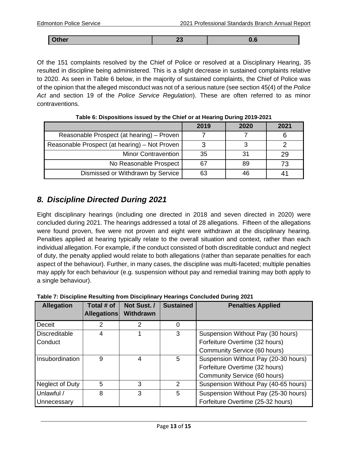| <b>Other</b><br>U - 4 |
|-----------------------|
|-----------------------|

Of the 151 complaints resolved by the Chief of Police or resolved at a Disciplinary Hearing, 35 resulted in discipline being administered. This is a slight decrease in sustained complaints relative to 2020. As seen in [Table 6](#page-12-1) below, in the majority of sustained complaints, the Chief of Police was of the opinion that the alleged misconduct was not of a serious nature (see section 45(4) of the *Police Act* and section 19 of the *Police Service Regulation*). These are often referred to as minor contraventions.

<span id="page-12-1"></span>

|                                               | 2019 | 2020 | 2021 |
|-----------------------------------------------|------|------|------|
| Reasonable Prospect (at hearing) – Proven     |      |      |      |
| Reasonable Prospect (at hearing) – Not Proven |      |      |      |
| <b>Minor Contravention</b>                    | 35   | 31   |      |
| No Reasonable Prospect                        |      | 89   |      |
| Dismissed or Withdrawn by Service             | 63   | 46   |      |

**Table 6: Dispositions issued by the Chief or at Hearing During 2019-2021**

## <span id="page-12-0"></span>*8. Discipline Directed During 2021*

Eight disciplinary hearings (including one directed in 2018 and seven directed in 2020) were concluded during 2021. The hearings addressed a total of 28 allegations. Fifteen of the allegations were found proven, five were not proven and eight were withdrawn at the disciplinary hearing. Penalties applied at hearing typically relate to the overall situation and context, rather than each individual allegation. For example, if the conduct consisted of both discreditable conduct and neglect of duty, the penalty applied would relate to both allegations (rather than separate penalties for each aspect of the behaviour). Further, in many cases, the discipline was multi-faceted; multiple penalties may apply for each behaviour (e.g. suspension without pay and remedial training may both apply to a single behaviour).

| <b>Allegation</b>               | Total # of<br><b>Allegations</b> | Not Sust. /<br><b>Withdrawn</b> | <b>Sustained</b> | <b>Penalties Applied</b>                                                                               |
|---------------------------------|----------------------------------|---------------------------------|------------------|--------------------------------------------------------------------------------------------------------|
| Deceit                          | 2                                | 2                               | 0                |                                                                                                        |
| <b>Discreditable</b><br>Conduct | 4                                |                                 | 3                | Suspension Without Pay (30 hours)<br>Forfeiture Overtime (32 hours)<br>Community Service (60 hours)    |
| Insubordination                 | 9                                | 4                               | 5                | Suspension Without Pay (20-30 hours)<br>Forfeiture Overtime (32 hours)<br>Community Service (60 hours) |
| Neglect of Duty                 | 5                                | 3                               | 2                | Suspension Without Pay (40-65 hours)                                                                   |
| Unlawful /<br>Unnecessary       | 8                                | 3                               | 5                | Suspension Without Pay (25-30 hours)<br>Forfeiture Overtime (25-32 hours)                              |

<span id="page-12-2"></span>**Table 7: Discipline Resulting from Disciplinary Hearings Concluded During 2021**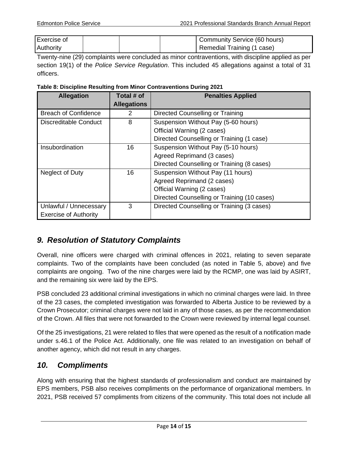| Exercise of      |  | Community Service (60 hours) |
|------------------|--|------------------------------|
| <b>Authority</b> |  | Remedial Training (1 case)   |

Twenty-nine (29) complaints were concluded as minor contraventions, with discipline applied as per section 19(1) of the *Police Service Regulation*. This included 45 allegations against a total of 31 officers.

<span id="page-13-2"></span>**Table 8: Discipline Resulting from Minor Contraventions During 2021**

| <b>Allegation</b>            | Total # of         | <b>Penalties Applied</b>                    |
|------------------------------|--------------------|---------------------------------------------|
|                              | <b>Allegations</b> |                                             |
| <b>Breach of Confidence</b>  | 2                  | Directed Counselling or Training            |
| Discreditable Conduct        | 8                  | Suspension Without Pay (5-60 hours)         |
|                              |                    | Official Warning (2 cases)                  |
|                              |                    | Directed Counselling or Training (1 case)   |
| Insubordination              | 16                 | Suspension Without Pay (5-10 hours)         |
|                              |                    | Agreed Reprimand (3 cases)                  |
|                              |                    | Directed Counselling or Training (8 cases)  |
| Neglect of Duty              | 16                 | Suspension Without Pay (11 hours)           |
|                              |                    | Agreed Reprimand (2 cases)                  |
|                              |                    | Official Warning (2 cases)                  |
|                              |                    | Directed Counselling or Training (10 cases) |
| Unlawful / Unnecessary       | 3                  | Directed Counselling or Training (3 cases)  |
| <b>Exercise of Authority</b> |                    |                                             |

## <span id="page-13-0"></span>*9. Resolution of Statutory Complaints*

Overall, nine officers were charged with criminal offences in 2021, relating to seven separate complaints. Two of the complaints have been concluded (as noted in Table 5, above) and five complaints are ongoing. Two of the nine charges were laid by the RCMP, one was laid by ASIRT, and the remaining six were laid by the EPS.

PSB concluded 23 additional criminal investigations in which no criminal charges were laid. In three of the 23 cases, the completed investigation was forwarded to Alberta Justice to be reviewed by a Crown Prosecutor; criminal charges were not laid in any of those cases, as per the recommendation of the Crown. All files that were not forwarded to the Crown were reviewed by internal legal counsel.

Of the 25 investigations, 21 were related to files that were opened as the result of a notification made under s.46.1 of the Police Act. Additionally, one file was related to an investigation on behalf of another agency, which did not result in any charges.

#### <span id="page-13-1"></span>*10. Compliments*

Along with ensuring that the highest standards of professionalism and conduct are maintained by EPS members, PSB also receives compliments on the performance of organizational members. In 2021, PSB received 57 compliments from citizens of the community. This total does not include all